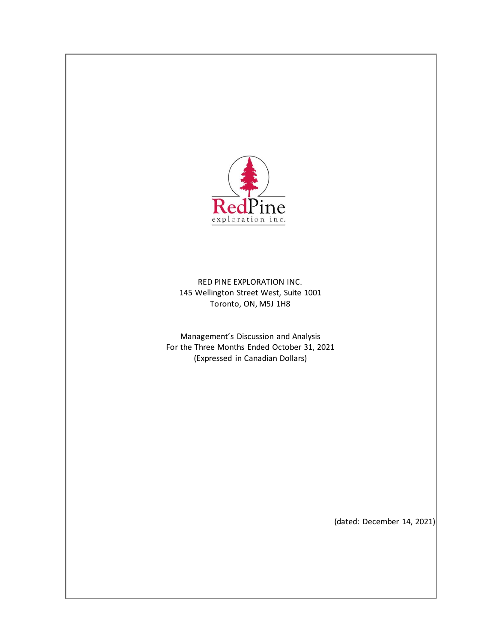

RED PINE EXPLORATION INC. 145 Wellington Street West, Suite 1001 Toronto, ON, M5J 1H8

Management's Discussion and Analysis For the Three Months Ended October 31, 2021 (Expressed in Canadian Dollars)

(dated: December 14, 2021)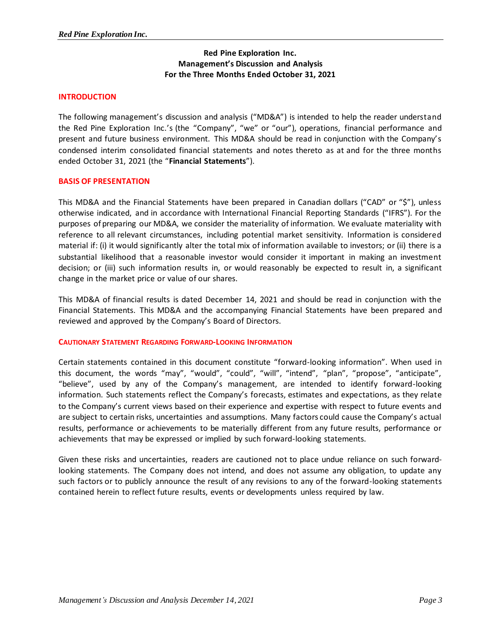# **Red Pine Exploration Inc. Management's Discussion and Analysis For the Three Months Ended October 31, 2021**

# **INTRODUCTION**

The following management's discussion and analysis ("MD&A") is intended to help the reader understand the Red Pine Exploration Inc.'s (the "Company", "we" or "our"), operations, financial performance and present and future business environment. This MD&A should be read in conjunction with the Company's condensed interim consolidated financial statements and notes thereto as at and for the three months ended October 31, 2021 (the "**Financial Statements**").

### **BASIS OF PRESENTATION**

This MD&A and the Financial Statements have been prepared in Canadian dollars ("CAD" or "\$"), unless otherwise indicated, and in accordance with International Financial Reporting Standards ("IFRS"). For the purposes of preparing our MD&A, we consider the materiality of information. We evaluate materiality with reference to all relevant circumstances, including potential market sensitivity. Information is considered material if: (i) it would significantly alter the total mix of information available to investors; or (ii) there is a substantial likelihood that a reasonable investor would consider it important in making an investment decision; or (iii) such information results in, or would reasonably be expected to result in, a significant change in the market price or value of our shares.

This MD&A of financial results is dated December 14, 2021 and should be read in conjunction with the Financial Statements. This MD&A and the accompanying Financial Statements have been prepared and reviewed and approved by the Company's Board of Directors.

### **CAUTIONARY STATEMENT REGARDING FORWARD-LOOKING INFORMATION**

Certain statements contained in this document constitute "forward-looking information". When used in this document, the words "may", "would", "could", "will", "intend", "plan", "propose", "anticipate", "believe", used by any of the Company's management, are intended to identify forward-looking information. Such statements reflect the Company's forecasts, estimates and expectations, as they relate to the Company's current views based on their experience and expertise with respect to future events and are subject to certain risks, uncertainties and assumptions. Many factors could cause the Company's actual results, performance or achievements to be materially different from any future results, performance or achievements that may be expressed or implied by such forward-looking statements.

Given these risks and uncertainties, readers are cautioned not to place undue reliance on such forwardlooking statements. The Company does not intend, and does not assume any obligation, to update any such factors or to publicly announce the result of any revisions to any of the forward-looking statements contained herein to reflect future results, events or developments unless required by law.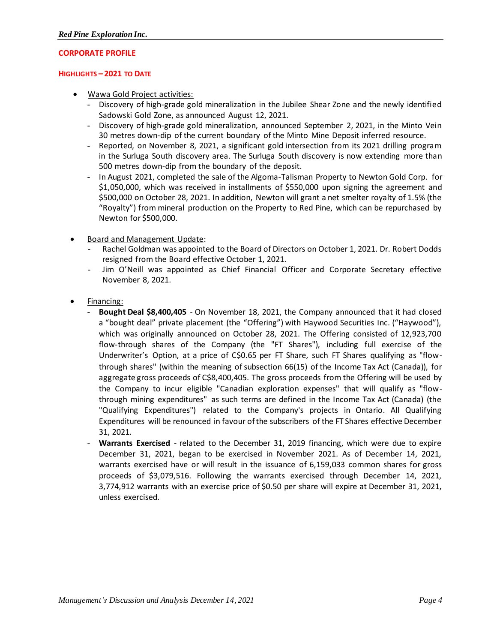# **CORPORATE PROFILE**

### **HIGHLIGHTS – 2021 TO DATE**

- Wawa Gold Project activities:
	- Discovery of high-grade gold mineralization in the Jubilee Shear Zone and the newly identified Sadowski Gold Zone, as announced August 12, 2021.
	- Discovery of high-grade gold mineralization, announced September 2, 2021, in the Minto Vein 30 metres down-dip of the current boundary of the Minto Mine Deposit inferred resource.
	- Reported, on November 8, 2021, a significant gold intersection from its 2021 drilling program in the Surluga South discovery area. The Surluga South discovery is now extending more than 500 metres down-dip from the boundary of the deposit.
	- In August 2021, completed the sale of the Algoma-Talisman Property to Newton Gold Corp. for \$1,050,000, which was received in installments of \$550,000 upon signing the agreement and \$500,000 on October 28, 2021. In addition, Newton will grant a net smelter royalty of 1.5% (the "Royalty") from mineral production on the Property to Red Pine, which can be repurchased by Newton for \$500,000.
- Board and Management Update:
	- Rachel Goldman was appointed to the Board of Directors on October 1, 2021. Dr. Robert Dodds resigned from the Board effective October 1, 2021.
	- Jim O'Neill was appointed as Chief Financial Officer and Corporate Secretary effective November 8, 2021.
- Financing:
	- Bought Deal \$8,400,405 On November 18, 2021, the Company announced that it had closed a "bought deal" private placement (the "Offering") with Haywood Securities Inc. ("Haywood"), which was originally announced on October 28, 2021. The Offering consisted of 12,923,700 flow-through shares of the Company (the "FT Shares"), including full exercise of the Underwriter's Option, at a price of C\$0.65 per FT Share, such FT Shares qualifying as "flowthrough shares" (within the meaning of subsection 66(15) of the Income Tax Act (Canada)), for aggregate gross proceeds of C\$8,400,405. The gross proceeds from the Offering will be used by the Company to incur eligible "Canadian exploration expenses" that will qualify as "flowthrough mining expenditures" as such terms are defined in the Income Tax Act (Canada) (the "Qualifying Expenditures") related to the Company's projects in Ontario. All Qualifying Expenditures will be renounced in favour of the subscribers of the FT Shares effective December 31, 2021.
	- Warrants Exercised related to the December 31, 2019 financing, which were due to expire December 31, 2021, began to be exercised in November 2021. As of December 14, 2021, warrants exercised have or will result in the issuance of 6,159,033 common shares for gross proceeds of \$3,079,516. Following the warrants exercised through December 14, 2021, 3,774,912 warrants with an exercise price of \$0.50 per share will expire at December 31, 2021, unless exercised.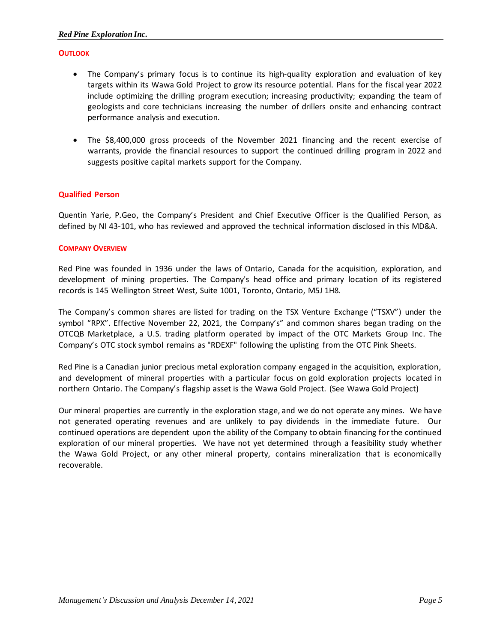# **OUTLOOK**

- The Company's primary focus is to continue its high-quality exploration and evaluation of key targets within its Wawa Gold Project to grow its resource potential. Plans for the fiscal year 2022 include optimizing the drilling program execution; increasing productivity; expanding the team of geologists and core technicians increasing the number of drillers onsite and enhancing contract performance analysis and execution.
- The \$8,400,000 gross proceeds of the November 2021 financing and the recent exercise of warrants, provide the financial resources to support the continued drilling program in 2022 and suggests positive capital markets support for the Company.

# **Qualified Person**

Quentin Yarie, P.Geo, the Company's President and Chief Executive Officer is the Qualified Person, as defined by NI 43-101, who has reviewed and approved the technical information disclosed in this MD&A.

### **COMPANY OVERVIEW**

Red Pine was founded in 1936 under the laws of Ontario, Canada for the acquisition, exploration, and development of mining properties. The Company's head office and primary location of its registered records is 145 Wellington Street West, Suite 1001, Toronto, Ontario, M5J 1H8.

The Company's common shares are listed for trading on the TSX Venture Exchange ("TSXV") under the symbol "RPX". Effective November 22, 2021, the Company's" and common shares began trading on the OTCQB Marketplace, a U.S. trading platform operated by impact of the OTC Markets Group Inc. The Company's OTC stock symbol remains as "RDEXF" following the uplisting from the OTC Pink Sheets.

Red Pine is a Canadian junior precious metal exploration company engaged in the acquisition, exploration, and development of mineral properties with a particular focus on gold exploration projects located in northern Ontario. The Company's flagship asset is the Wawa Gold Project. (See Wawa Gold Project)

Our mineral properties are currently in the exploration stage, and we do not operate any mines. We have not generated operating revenues and are unlikely to pay dividends in the immediate future. Our continued operations are dependent upon the ability of the Company to obtain financing for the continued exploration of our mineral properties. We have not yet determined through a feasibility study whether the Wawa Gold Project, or any other mineral property, contains mineralization that is economically recoverable.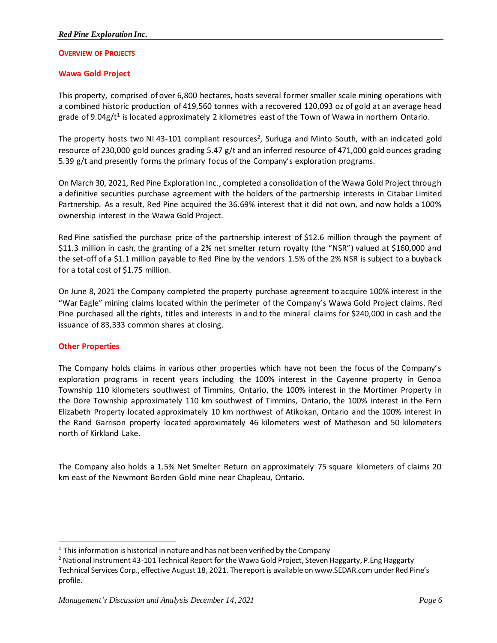# **OVERVIEW OF PROJECTS**

# **Wawa Gold Project**

This property, comprised of over 6,800 hectares, hosts several former smaller scale mining operations with a combined historic production of 419,560 tonnes with a recovered 120,093 oz of gold at an average head grade of 9.04g/t<sup>1</sup> is located approximately 2 kilometres east of the Town of Wawa in northern Ontario.

The property hosts two NI 43-101 compliant resources<sup>2</sup>, Surluga and Minto South, with an indicated gold resource of 230,000 gold ounces grading 5.47 g/t and an inferred resource of 471,000 gold ounces grading 5.39 g/t and presently forms the primary focus of the Company's exploration programs.

On March 30, 2021, Red Pine Exploration Inc., completed a consolidation of the Wawa Gold Project through a definitive securities purchase agreement with the holders of the partnership interests in Citabar Limited Partnership. As a result, Red Pine acquired the 36.69% interest that it did not own, and now holds a 100% ownership interest in the Wawa Gold Project.

Red Pine satisfied the purchase price of the partnership interest of \$12.6 million through the payment of \$11.3 million in cash, the granting of a 2% net smelter return royalty (the "NSR") valued at \$160,000 and the set-off of a \$1.1 million payable to Red Pine by the vendors 1.5% of the 2% NSR is subject to a buyback for a total cost of \$1.75 million.

On June 8, 2021 the Company completed the property purchase agreement to acquire 100% interest in the "War Eagle" mining claims located within the perimeter of the Company's Wawa Gold Project claims. Red Pine purchased all the rights, titles and interests in and to the mineral claims for \$240,000 in cash and the issuance of 83,333 common shares at closing.

# **Other Properties**

The Company holds claims in various other properties which have not been the focus of the Company's exploration programs in recent years including the 100% interest in the Cayenne property in Genoa Township 110 kilometers southwest of Timmins, Ontario, the 100% interest in the Mortimer Property in the Dore Township approximately 110 km southwest of Timmins, Ontario, the 100% interest in the Fern Elizabeth Property located approximately 10 km northwest of Atikokan, Ontario and the 100% interest in the Rand Garrison property located approximately 46 kilometers west of Matheson and 50 kilometers north of Kirkland Lake.

The Company also holds a 1.5% Net Smelter Return on approximately 75 square kilometers of claims 20 km east of the Newmont Borden Gold mine near Chapleau, Ontario.

 $1$  This information is historical in nature and has not been verified by the Company

<sup>&</sup>lt;sup>2</sup> National Instrument 43-101 Technical Report for the Wawa Gold Project, Steven Haggarty, P.Eng Haggarty Technical Services Corp., effective August 18, 2021. The report is available on www.SEDAR.com under Red Pine's profile.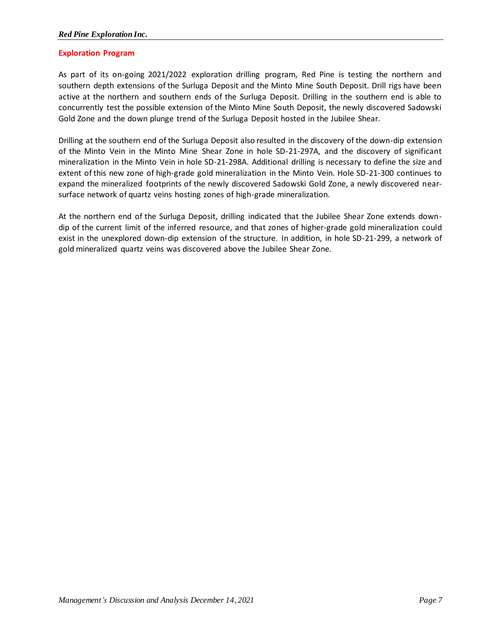# **Exploration Program**

As part of its on-going 2021/2022 exploration drilling program, Red Pine is testing the northern and southern depth extensions of the Surluga Deposit and the Minto Mine South Deposit. Drill rigs have been active at the northern and southern ends of the Surluga Deposit. Drilling in the southern end is able to concurrently test the possible extension of the Minto Mine South Deposit, the newly discovered Sadowski Gold Zone and the down plunge trend of the Surluga Deposit hosted in the Jubilee Shear.

Drilling at the southern end of the Surluga Deposit also resulted in the discovery of the down-dip extension of the Minto Vein in the Minto Mine Shear Zone in hole SD-21-297A, and the discovery of significant mineralization in the Minto Vein in hole SD-21-298A. Additional drilling is necessary to define the size and extent of this new zone of high-grade gold mineralization in the Minto Vein. Hole SD-21-300 continues to expand the mineralized footprints of the newly discovered Sadowski Gold Zone, a newly discovered nearsurface network of quartz veins hosting zones of high-grade mineralization.

At the northern end of the Surluga Deposit, drilling indicated that the Jubilee Shear Zone extends downdip of the current limit of the inferred resource, and that zones of higher-grade gold mineralization could exist in the unexplored down-dip extension of the structure. In addition, in hole SD-21-299, a network of gold mineralized quartz veins was discovered above the Jubilee Shear Zone.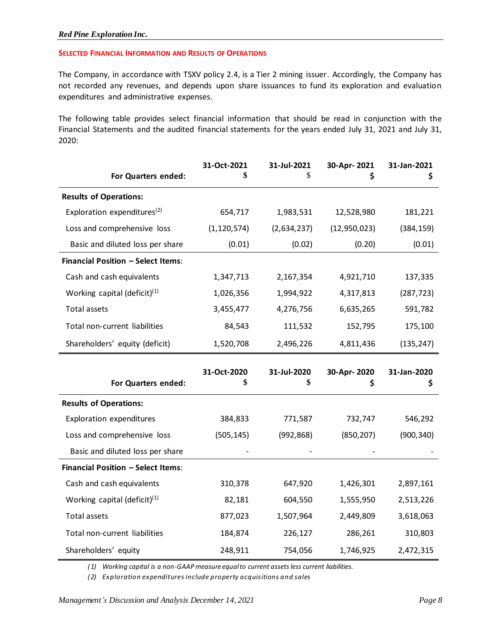### **SELECTED FINANCIAL INFORMATION AND RESULTS OF OPERATIONS**

The Company, in accordance with TSXV policy 2.4, is a Tier 2 mining issuer. Accordingly, the Company has not recorded any revenues, and depends upon share issuances to fund its exploration and evaluation expenditures and administrative expenses.

The following table provides select financial information that should be read in conjunction with the Financial Statements and the audited financial statements for the years ended July 31, 2021 and July 31, 2020:

| For Quarters ended:                       | 31-Oct-2021       | 31-Jul-2021<br>\$ | 30-Apr-2021<br>\$ | 31-Jan-2021<br>\$ |
|-------------------------------------------|-------------------|-------------------|-------------------|-------------------|
| <b>Results of Operations:</b>             |                   |                   |                   |                   |
| Exploration expenditures <sup>(2)</sup>   | 654,717           | 1,983,531         | 12,528,980        | 181,221           |
| Loss and comprehensive loss               | (1, 120, 574)     | (2,634,237)       | (12, 950, 023)    | (384, 159)        |
| Basic and diluted loss per share          | (0.01)            | (0.02)            | (0.20)            | (0.01)            |
| Financial Position - Select Items:        |                   |                   |                   |                   |
| Cash and cash equivalents                 | 1,347,713         | 2,167,354         | 4,921,710         | 137,335           |
| Working capital (deficit) $(1)$           | 1,026,356         | 1,994,922         | 4,317,813         | (287, 723)        |
| <b>Total assets</b>                       | 3,455,477         | 4,276,756         | 6,635,265         | 591,782           |
| Total non-current liabilities             | 84,543            | 111,532           | 152,795           | 175,100           |
| Shareholders' equity (deficit)            | 1,520,708         | 2,496,226         | 4,811,436         | (135, 247)        |
|                                           |                   |                   |                   |                   |
| For Quarters ended:                       | 31-Oct-2020<br>\$ | 31-Jul-2020<br>\$ | 30-Apr-2020<br>\$ | 31-Jan-2020<br>\$ |
| <b>Results of Operations:</b>             |                   |                   |                   |                   |
| Exploration expenditures                  | 384,833           | 771,587           | 732,747           | 546,292           |
| Loss and comprehensive loss               | (505, 145)        | (992, 868)        | (850, 207)        | (900, 340)        |
| Basic and diluted loss per share          |                   |                   |                   |                   |
| <b>Financial Position - Select Items:</b> |                   |                   |                   |                   |
| Cash and cash equivalents                 | 310,378           | 647,920           | 1,426,301         | 2,897,161         |
| Working capital (deficit) $(1)$           | 82,181            | 604,550           | 1,555,950         | 2,513,226         |
| <b>Total assets</b>                       | 877,023           | 1,507,964         | 2,449,809         | 3,618,063         |
| Total non-current liabilities             | 184,874           | 226,127           | 286,261           | 310,803           |

*(1) Working capital is a non-GAAP measure equal to current assets less current liabilities.*

*(2) Exploration expenditures include property acquisitions and sales*

*Management's Discussion and Analysis December 14, 2021 Page 8*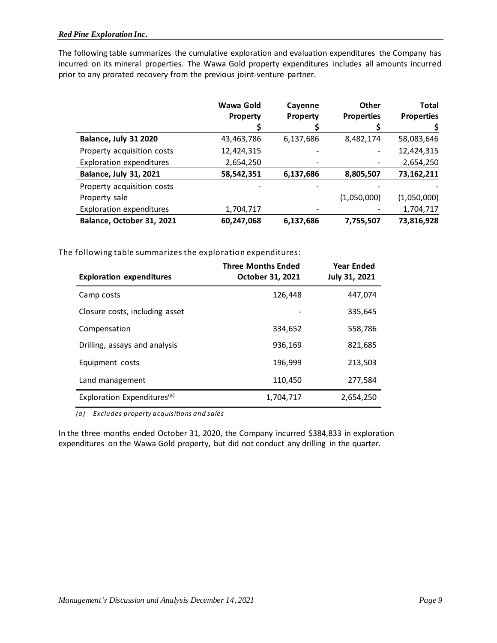The following table summarizes the cumulative exploration and evaluation expenditures the Company has incurred on its mineral properties. The Wawa Gold property expenditures includes all amounts incurred prior to any prorated recovery from the previous joint-venture partner.

|                                 | Wawa Gold<br>Property | Cayenne<br>Property | <b>Other</b><br><b>Properties</b> | <b>Total</b><br><b>Properties</b> |
|---------------------------------|-----------------------|---------------------|-----------------------------------|-----------------------------------|
|                                 |                       |                     |                                   |                                   |
| Balance, July 31 2020           | 43,463,786            | 6,137,686           | 8,482,174                         | 58,083,646                        |
| Property acquisition costs      | 12,424,315            |                     |                                   | 12,424,315                        |
| <b>Exploration expenditures</b> | 2,654,250             |                     |                                   | 2,654,250                         |
| <b>Balance, July 31, 2021</b>   | 58,542,351            | 6,137,686           | 8,805,507                         | 73,162,211                        |
| Property acquisition costs      |                       |                     |                                   |                                   |
| Property sale                   |                       |                     | (1,050,000)                       | (1,050,000)                       |
| <b>Exploration expenditures</b> | 1,704,717             |                     |                                   | 1,704,717                         |
| Balance, October 31, 2021       | 60,247,068            | 6,137,686           | 7,755,507                         | 73,816,928                        |

The following table summarizes the exploration expenditures:

| <b>Exploration expenditures</b>         | <b>Three Months Ended</b><br>October 31, 2021 | <b>Year Ended</b><br>July 31, 2021 |
|-----------------------------------------|-----------------------------------------------|------------------------------------|
| Camp costs                              | 126,448                                       | 447,074                            |
| Closure costs, including asset          |                                               | 335,645                            |
| Compensation                            | 334.652                                       | 558,786                            |
| Drilling, assays and analysis           | 936,169                                       | 821,685                            |
| Equipment costs                         | 196,999                                       | 213,503                            |
| Land management                         | 110,450                                       | 277,584                            |
| Exploration Expenditures <sup>(a)</sup> | 1,704,717                                     | 2,654,250                          |

*(a) Excludes property acquisitions and sales*

In the three months ended October 31, 2020, the Company incurred \$384,833 in exploration expenditures on the Wawa Gold property, but did not conduct any drilling in the quarter.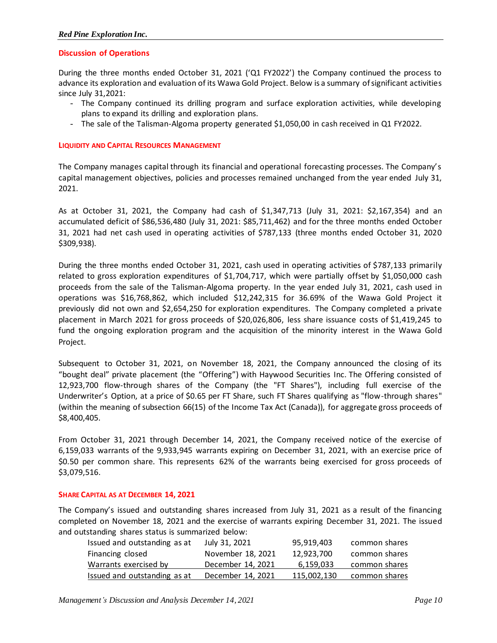### **Discussion of Operations**

During the three months ended October 31, 2021 ('Q1 FY2022') the Company continued the process to advance its exploration and evaluation of its Wawa Gold Project. Below is a summary of significant activities since July 31,2021:

- The Company continued its drilling program and surface exploration activities, while developing plans to expand its drilling and exploration plans.
- The sale of the Talisman-Algoma property generated \$1,050,00 in cash received in Q1 FY2022.

### **LIQUIDITY AND CAPITAL RESOURCES MANAGEMENT**

The Company manages capital through its financial and operational forecasting processes. The Company's capital management objectives, policies and processes remained unchanged from the year ended July 31, 2021.

As at October 31, 2021, the Company had cash of \$1,347,713 (July 31, 2021: \$2,167,354) and an accumulated deficit of \$86,536,480 (July 31, 2021: \$85,711,462) and for the three months ended October 31, 2021 had net cash used in operating activities of \$787,133 (three months ended October 31, 2020 \$309,938).

During the three months ended October 31, 2021, cash used in operating activities of \$787,133 primarily related to gross exploration expenditures of \$1,704,717, which were partially offset by \$1,050,000 cash proceeds from the sale of the Talisman-Algoma property. In the year ended July 31, 2021, cash used in operations was \$16,768,862, which included \$12,242,315 for 36.69% of the Wawa Gold Project it previously did not own and \$2,654,250 for exploration expenditures. The Company completed a private placement in March 2021 for gross proceeds of \$20,026,806, less share issuance costs of \$1,419,245 to fund the ongoing exploration program and the acquisition of the minority interest in the Wawa Gold Project.

Subsequent to October 31, 2021, on November 18, 2021, the Company announced the closing of its "bought deal" private placement (the "Offering") with Haywood Securities Inc. The Offering consisted of 12,923,700 flow-through shares of the Company (the "FT Shares"), including full exercise of the Underwriter's Option, at a price of \$0.65 per FT Share, such FT Shares qualifying as "flow-through shares" (within the meaning of subsection 66(15) of the Income Tax Act (Canada)), for aggregate gross proceeds of \$8,400,405.

From October 31, 2021 through December 14, 2021, the Company received notice of the exercise of 6,159,033 warrants of the 9,933,945 warrants expiring on December 31, 2021, with an exercise price of \$0.50 per common share. This represents 62% of the warrants being exercised for gross proceeds of \$3,079,516.

#### **SHARE CAPITAL AS AT DECEMBER 14, 2021**

The Company's issued and outstanding shares increased from July 31, 2021 as a result of the financing completed on November 18, 2021 and the exercise of warrants expiring December 31, 2021. The issued and outstanding shares status is summarized below:

| Issued and outstanding as at | July 31, 2021     | 95,919,403  | common shares |
|------------------------------|-------------------|-------------|---------------|
| Financing closed             | November 18, 2021 | 12,923,700  | common shares |
| Warrants exercised by        | December 14, 2021 | 6,159,033   | common shares |
| Issued and outstanding as at | December 14, 2021 | 115,002,130 | common shares |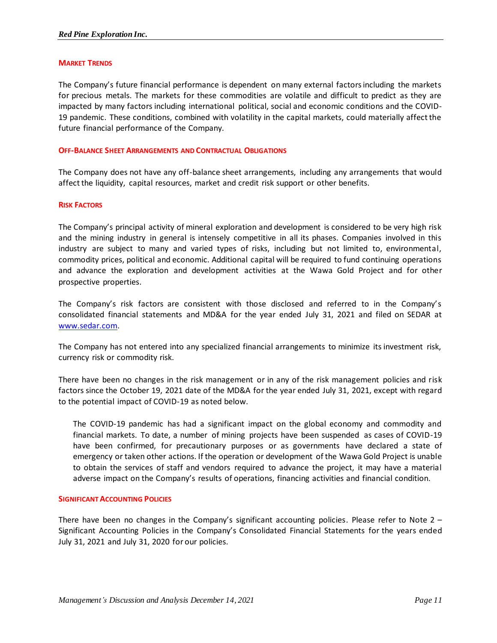### **MARKET TRENDS**

The Company's future financial performance is dependent on many external factors including the markets for precious metals. The markets for these commodities are volatile and difficult to predict as they are impacted by many factors including international political, social and economic conditions and the COVID-19 pandemic. These conditions, combined with volatility in the capital markets, could materially affect the future financial performance of the Company.

### **OFF-BALANCE SHEET ARRANGEMENTS AND CONTRACTUAL OBLIGATIONS**

The Company does not have any off-balance sheet arrangements, including any arrangements that would affect the liquidity, capital resources, market and credit risk support or other benefits.

### **RISK FACTORS**

The Company's principal activity of mineral exploration and development is considered to be very high risk and the mining industry in general is intensely competitive in all its phases. Companies involved in this industry are subject to many and varied types of risks, including but not limited to, environmental, commodity prices, political and economic. Additional capital will be required to fund continuing operations and advance the exploration and development activities at the Wawa Gold Project and for other prospective properties.

The Company's risk factors are consistent with those disclosed and referred to in the Company's consolidated financial statements and MD&A for the year ended July 31, 2021 and filed on SEDAR at [www.sedar.com.](http://www.sedar.com/)

The Company has not entered into any specialized financial arrangements to minimize its investment risk, currency risk or commodity risk.

There have been no changes in the risk management or in any of the risk management policies and risk factors since the October 19, 2021 date of the MD&A for the year ended July 31, 2021, except with regard to the potential impact of COVID-19 as noted below.

The COVID-19 pandemic has had a significant impact on the global economy and commodity and financial markets. To date, a number of mining projects have been suspended as cases of COVID-19 have been confirmed, for precautionary purposes or as governments have declared a state of emergency or taken other actions. If the operation or development of the Wawa Gold Project is unable to obtain the services of staff and vendors required to advance the project, it may have a material adverse impact on the Company's results of operations, financing activities and financial condition.

### **SIGNIFICANT ACCOUNTING POLICIES**

There have been no changes in the Company's significant accounting policies. Please refer to Note  $2 -$ Significant Accounting Policies in the Company's Consolidated Financial Statements for the years ended July 31, 2021 and July 31, 2020 for our policies.